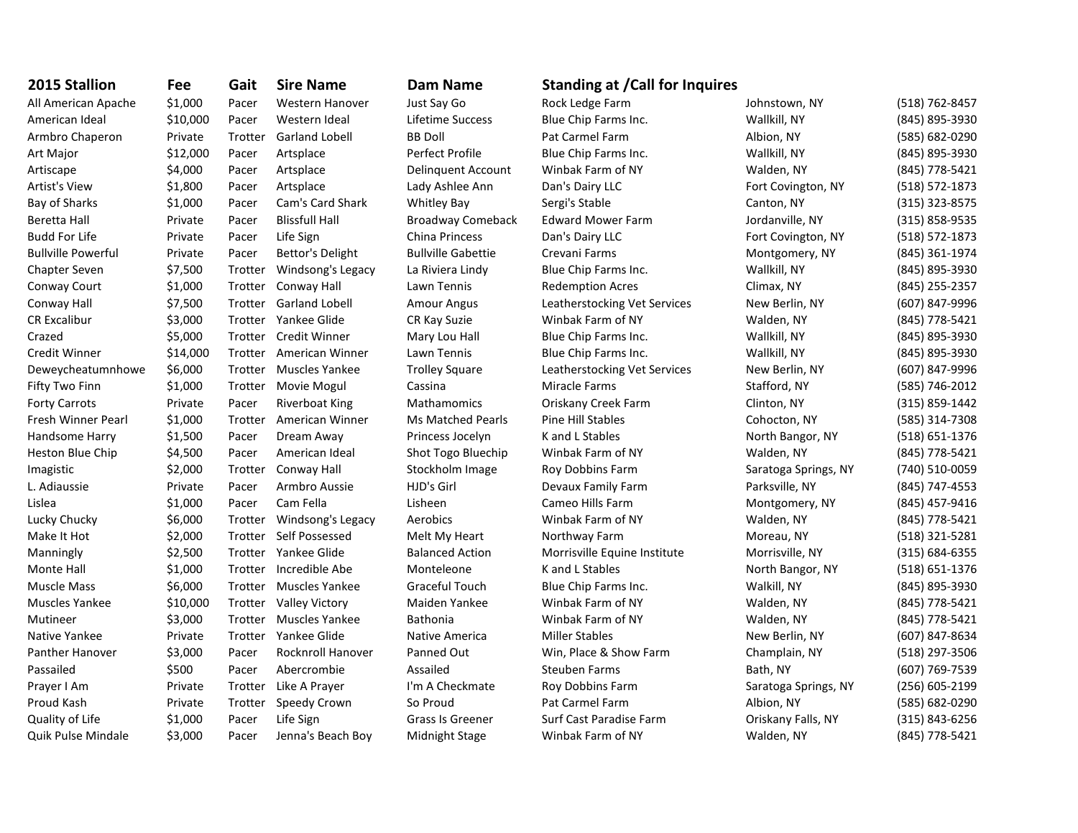| 2015 Stallion             | Fee      | Gait    | <b>Sire Name</b>         | <b>Dam Name</b>           | <b>Standing at /Call for Inquires</b> |                      |                |
|---------------------------|----------|---------|--------------------------|---------------------------|---------------------------------------|----------------------|----------------|
| All American Apache       | \$1,000  | Pacer   | <b>Western Hanover</b>   | Just Say Go               | Rock Ledge Farm                       | Johnstown, NY        | (518) 762-8457 |
| American Ideal            | \$10,000 | Pacer   | Western Ideal            | Lifetime Success          | Blue Chip Farms Inc.                  | Wallkill, NY         | (845) 895-3930 |
| Armbro Chaperon           | Private  | Trotter | <b>Garland Lobell</b>    | <b>BB Doll</b>            | Pat Carmel Farm                       | Albion, NY           | (585) 682-0290 |
| Art Major                 | \$12,000 | Pacer   | Artsplace                | Perfect Profile           | Blue Chip Farms Inc.                  | Wallkill, NY         | (845) 895-3930 |
| Artiscape                 | \$4,000  | Pacer   | Artsplace                | Delinguent Account        | Winbak Farm of NY                     | Walden, NY           | (845) 778-5421 |
| <b>Artist's View</b>      | \$1,800  | Pacer   | Artsplace                | Lady Ashlee Ann           | Dan's Dairy LLC                       | Fort Covington, NY   | (518) 572-1873 |
| Bay of Sharks             | \$1,000  | Pacer   | Cam's Card Shark         | <b>Whitley Bay</b>        | Sergi's Stable                        | Canton, NY           | (315) 323-8575 |
| Beretta Hall              | Private  | Pacer   | <b>Blissfull Hall</b>    | <b>Broadway Comeback</b>  | <b>Edward Mower Farm</b>              | Jordanville, NY      | (315) 858-9535 |
| <b>Budd For Life</b>      | Private  | Pacer   | Life Sign                | <b>China Princess</b>     | Dan's Dairy LLC                       | Fort Covington, NY   | (518) 572-1873 |
| <b>Bullville Powerful</b> | Private  | Pacer   | Bettor's Delight         | <b>Bullville Gabettie</b> | Crevani Farms                         | Montgomery, NY       | (845) 361-1974 |
| Chapter Seven             | \$7,500  | Trotter | Windsong's Legacy        | La Riviera Lindy          | Blue Chip Farms Inc.                  | Wallkill, NY         | (845) 895-3930 |
| Conway Court              | \$1,000  | Trotter | Conway Hall              | Lawn Tennis               | <b>Redemption Acres</b>               | Climax, NY           | (845) 255-2357 |
| Conway Hall               | \$7,500  | Trotter | <b>Garland Lobell</b>    | <b>Amour Angus</b>        | Leatherstocking Vet Services          | New Berlin, NY       | (607) 847-9996 |
| <b>CR Excalibur</b>       | \$3,000  | Trotter | Yankee Glide             | CR Kay Suzie              | Winbak Farm of NY                     | Walden, NY           | (845) 778-5421 |
| Crazed                    | \$5,000  | Trotter | <b>Credit Winner</b>     | Mary Lou Hall             | Blue Chip Farms Inc.                  | Wallkill, NY         | (845) 895-3930 |
| Credit Winner             | \$14,000 | Trotter | American Winner          | Lawn Tennis               | Blue Chip Farms Inc.                  | Wallkill, NY         | (845) 895-3930 |
| Deweycheatumnhowe         | \$6,000  | Trotter | <b>Muscles Yankee</b>    | <b>Trolley Square</b>     | Leatherstocking Vet Services          | New Berlin, NY       | (607) 847-9996 |
| Fifty Two Finn            | \$1,000  | Trotter | Movie Mogul              | Cassina                   | Miracle Farms                         | Stafford, NY         | (585) 746-2012 |
| <b>Forty Carrots</b>      | Private  | Pacer   | <b>Riverboat King</b>    | Mathamomics               | Oriskany Creek Farm                   | Clinton, NY          | (315) 859-1442 |
| Fresh Winner Pearl        | \$1,000  | Trotter | American Winner          | <b>Ms Matched Pearls</b>  | <b>Pine Hill Stables</b>              | Cohocton, NY         | (585) 314-7308 |
| Handsome Harry            | \$1,500  | Pacer   | Dream Away               | Princess Jocelyn          | K and L Stables                       | North Bangor, NY     | (518) 651-1376 |
| Heston Blue Chip          | \$4,500  | Pacer   | American Ideal           | Shot Togo Bluechip        | Winbak Farm of NY                     | Walden, NY           | (845) 778-5421 |
| Imagistic                 | \$2,000  | Trotter | Conway Hall              | Stockholm Image           | Roy Dobbins Farm                      | Saratoga Springs, NY | (740) 510-0059 |
| L. Adiaussie              | Private  | Pacer   | Armbro Aussie            | HJD's Girl                | Devaux Family Farm                    | Parksville, NY       | (845) 747-4553 |
| Lislea                    | \$1,000  | Pacer   | Cam Fella                | Lisheen                   | Cameo Hills Farm                      | Montgomery, NY       | (845) 457-9416 |
| Lucky Chucky              | \$6,000  | Trotter | Windsong's Legacy        | Aerobics                  | Winbak Farm of NY                     | Walden, NY           | (845) 778-5421 |
| Make It Hot               | \$2,000  | Trotter | Self Possessed           | Melt My Heart             | Northway Farm                         | Moreau, NY           | (518) 321-5281 |
| Manningly                 | \$2,500  | Trotter | Yankee Glide             | <b>Balanced Action</b>    | Morrisville Equine Institute          | Morrisville, NY      | (315) 684-6355 |
| Monte Hall                | \$1,000  | Trotter | Incredible Abe           | Monteleone                | K and L Stables                       | North Bangor, NY     | (518) 651-1376 |
| <b>Muscle Mass</b>        | \$6,000  | Trotter | <b>Muscles Yankee</b>    | Graceful Touch            | Blue Chip Farms Inc.                  | Walkill, NY          | (845) 895-3930 |
| <b>Muscles Yankee</b>     | \$10,000 | Trotter | <b>Valley Victory</b>    | Maiden Yankee             | Winbak Farm of NY                     | Walden, NY           | (845) 778-5421 |
| Mutineer                  | \$3,000  | Trotter | <b>Muscles Yankee</b>    | <b>Bathonia</b>           | Winbak Farm of NY                     | Walden, NY           | (845) 778-5421 |
| Native Yankee             | Private  | Trotter | Yankee Glide             | Native America            | <b>Miller Stables</b>                 | New Berlin, NY       | (607) 847-8634 |
| <b>Panther Hanover</b>    | \$3,000  | Pacer   | <b>Rocknroll Hanover</b> | Panned Out                | Win, Place & Show Farm                | Champlain, NY        | (518) 297-3506 |
| Passailed                 | \$500    | Pacer   | Abercrombie              | Assailed                  | <b>Steuben Farms</b>                  | Bath, NY             | (607) 769-7539 |
| Prayer I Am               | Private  | Trotter | Like A Prayer            | I'm A Checkmate           | Roy Dobbins Farm                      | Saratoga Springs, NY | (256) 605-2199 |
| Proud Kash                | Private  | Trotter | Speedy Crown             | So Proud                  | Pat Carmel Farm                       | Albion, NY           | (585) 682-0290 |
| Quality of Life           | \$1,000  | Pacer   | Life Sign                | <b>Grass Is Greener</b>   | Surf Cast Paradise Farm               | Oriskany Falls, NY   | (315) 843-6256 |
| Quik Pulse Mindale        | \$3,000  | Pacer   | Jenna's Beach Boy        | Midnight Stage            | Winbak Farm of NY                     | Walden, NY           | (845) 778-5421 |

## **2015 IDam Name Standing at /Call for Inquires**